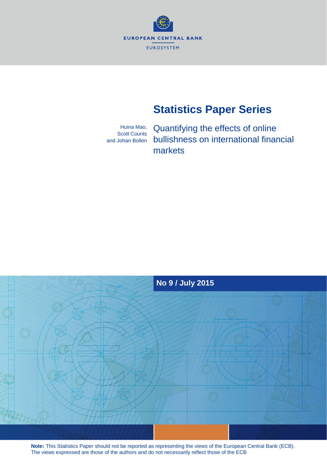

# **Statistics Paper Series**

Huina Mao, Scott Counts and Johan Bollen Quantifying the effects of online bullishness on international financial markets



**Note:** This Statistics Paper should not be reported as representing the views of the European Central Bank (ECB). The views expressed are those of the authors and do not necessarily reflect those of the ECB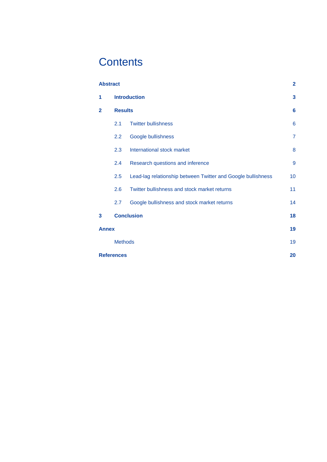# **Contents**

| <b>Abstract</b>   |                                                                     |                                              | $\overline{\mathbf{2}}$ |  |  |  |
|-------------------|---------------------------------------------------------------------|----------------------------------------------|-------------------------|--|--|--|
| 1                 | <b>Introduction</b>                                                 |                                              |                         |  |  |  |
| $\mathbf{2}$      | <b>Results</b>                                                      |                                              |                         |  |  |  |
|                   | 2.1                                                                 | <b>Twitter bullishness</b>                   | 6                       |  |  |  |
|                   | 2.2                                                                 | Google bullishness                           | $\overline{7}$          |  |  |  |
|                   | International stock market<br>2.3                                   |                                              |                         |  |  |  |
|                   | 2.4<br>Research questions and inference                             |                                              |                         |  |  |  |
|                   | Lead-lag relationship between Twitter and Google bullishness<br>2.5 |                                              |                         |  |  |  |
|                   | 2.6                                                                 | Twitter bullishness and stock market returns | 11                      |  |  |  |
|                   | 2.7                                                                 | Google bullishness and stock market returns  | 14                      |  |  |  |
| 3                 | <b>Conclusion</b>                                                   |                                              |                         |  |  |  |
| <b>Annex</b>      |                                                                     |                                              | 19                      |  |  |  |
|                   | <b>Methods</b>                                                      |                                              |                         |  |  |  |
| <b>References</b> |                                                                     |                                              |                         |  |  |  |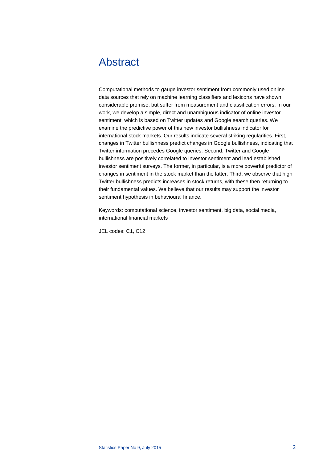# <span id="page-2-0"></span>Abstract

Computational methods to gauge investor sentiment from commonly used online data sources that rely on machine learning classifiers and lexicons have shown considerable promise, but suffer from measurement and classification errors. In our work, we develop a simple, direct and unambiguous indicator of online investor sentiment, which is based on Twitter updates and Google search queries. We examine the predictive power of this new investor bullishness indicator for international stock markets. Our results indicate several striking regularities. First, changes in Twitter bullishness predict changes in Google bullishness, indicating that Twitter information precedes Google queries. Second, Twitter and Google bullishness are positively correlated to investor sentiment and lead established investor sentiment surveys. The former, in particular, is a more powerful predictor of changes in sentiment in the stock market than the latter. Third, we observe that high Twitter bullishness predicts increases in stock returns, with these then returning to their fundamental values. We believe that our results may support the investor sentiment hypothesis in behavioural finance.

Keywords: computational science, investor sentiment, big data, social media, international financial markets

JEL codes: C1, C12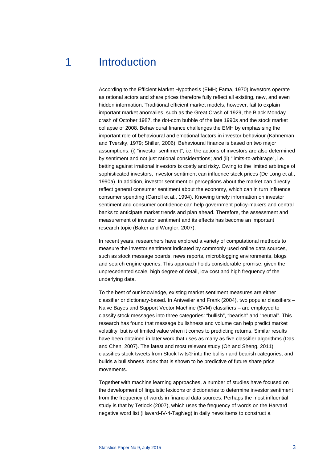# <span id="page-3-0"></span>1 Introduction

According to the Efficient Market Hypothesis (EMH; Fama, 1970) investors operate as rational actors and share prices therefore fully reflect all existing, new, and even hidden information. Traditional efficient market models, however, fail to explain important market anomalies, such as the Great Crash of 1929, the Black Monday crash of October 1987, the dot-com bubble of the late 1990s and the stock market collapse of 2008. Behavioural finance challenges the EMH by emphasising the important role of behavioural and emotional factors in investor behaviour (Kahneman and Tversky, 1979; Shiller, 2006). Behavioural finance is based on two major assumptions: (i) "investor sentiment", i.e. the actions of investors are also determined by sentiment and not just rational considerations; and (ii) "limits-to-arbitrage", i.e. betting against irrational investors is costly and risky. Owing to the limited arbitrage of sophisticated investors, investor sentiment can influence stock prices (De Long et al., 1990a). In addition, investor sentiment or perceptions about the market can directly reflect general consumer sentiment about the economy, which can in turn influence consumer spending (Carroll et al., 1994). Knowing timely information on investor sentiment and consumer confidence can help government policy-makers and central banks to anticipate market trends and plan ahead. Therefore, the assessment and measurement of investor sentiment and its effects has become an important research topic (Baker and Wurgler, 2007).

In recent years, researchers have explored a variety of computational methods to measure the investor sentiment indicated by commonly used online data sources, such as stock message boards, news reports, microblogging environments, blogs and search engine queries. This approach holds considerable promise, given the unprecedented scale, high degree of detail, low cost and high frequency of the underlying data.

To the best of our knowledge, existing market sentiment measures are either classifier or dictionary-based. In Antweiler and Frank (2004), two popular classifiers – Naive Bayes and Support Vector Machine (SVM) classifiers – are employed to classify stock messages into three categories: "bullish", "bearish" and "neutral". This research has found that message bullishness and volume can help predict market volatility, but is of limited value when it comes to predicting returns. Similar results have been obtained in later work that uses as many as five classifier algorithms (Das and Chen, 2007). The latest and most relevant study (Oh and Sheng, 2011) classifies stock tweets from StockTwits® into the bullish and bearish categories, and builds a bullishness index that is shown to be predictive of future share price movements.

Together with machine learning approaches, a number of studies have focused on the development of linguistic lexicons or dictionaries to determine investor sentiment from the frequency of words in financial data sources. Perhaps the most influential study is that by Tetlock (2007), which uses the frequency of words on the Harvard negative word list (Havard-IV-4-TagNeg) in daily news items to construct a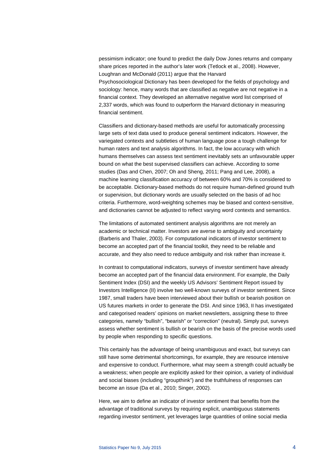pessimism indicator; one found to predict the daily Dow Jones returns and company share prices reported in the author's later work (Tetlock et al., 2008). However, Loughran and McDonald (2011) argue that the Harvard Psychosociological Dictionary has been developed for the fields of psychology and sociology: hence, many words that are classified as negative are not negative in a financial context. They developed an alternative negative word list comprised of 2,337 words, which was found to outperform the Harvard dictionary in measuring financial sentiment.

Classifiers and dictionary-based methods are useful for automatically processing large sets of text data used to produce general sentiment indicators. However, the variegated contexts and subtleties of human language pose a tough challenge for human raters and text analysis algorithms. In fact, the low accuracy with which humans themselves can assess text sentiment inevitably sets an unfavourable upper bound on what the best supervised classifiers can achieve. According to some studies (Das and Chen, 2007; Oh and Sheng, 2011; Pang and Lee, 2008), a machine learning classification accuracy of between 60% and 70% is considered to be acceptable. Dictionary-based methods do not require human-defined ground truth or supervision, but dictionary words are usually selected on the basis of ad hoc criteria. Furthermore, word-weighting schemes may be biased and context-sensitive, and dictionaries cannot be adjusted to reflect varying word contexts and semantics.

The limitations of automated sentiment analysis algorithms are not merely an academic or technical matter. Investors are averse to ambiguity and uncertainty (Barberis and Thaler, 2003). For computational indicators of investor sentiment to become an accepted part of the financial toolkit, they need to be reliable and accurate, and they also need to reduce ambiguity and risk rather than increase it.

In contrast to computational indicators, surveys of investor sentiment have already become an accepted part of the financial data environment. For example, the Daily Sentiment Index (DSI) and the weekly US Advisors' Sentiment Report issued by Investors Intelligence (II) involve two well-known surveys of investor sentiment. Since 1987, small traders have been interviewed about their bullish or bearish position on US futures markets in order to generate the DSI. And since 1963, II has investigated and categorised readers' opinions on market newsletters, assigning these to three categories, namely "bullish", "bearish" or "correction" (neutral). Simply put, surveys assess whether sentiment is bullish or bearish on the basis of the precise words used by people when responding to specific questions.

This certainly has the advantage of being unambiguous and exact, but surveys can still have some detrimental shortcomings, for example, they are resource intensive and expensive to conduct. Furthermore, what may seem a strength could actually be a weakness; when people are explicitly asked for their opinion, a variety of individual and social biases (including "groupthink") and the truthfulness of responses can become an issue (Da et al., 2010; Singer, 2002).

Here, we aim to define an indicator of investor sentiment that benefits from the advantage of traditional surveys by requiring explicit, unambiguous statements regarding investor sentiment, yet leverages large quantities of online social media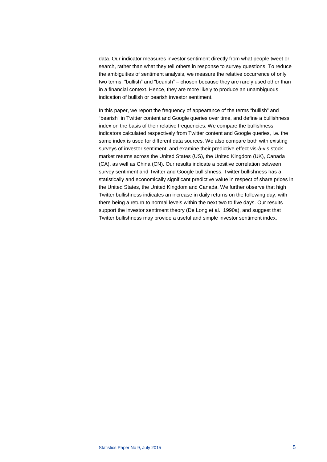data. Our indicator measures investor sentiment directly from what people tweet or search, rather than what they tell others in response to survey questions. To reduce the ambiguities of sentiment analysis, we measure the relative occurrence of only two terms: "bullish" and "bearish" – chosen because they are rarely used other than in a financial context. Hence, they are more likely to produce an unambiguous indication of bullish or bearish investor sentiment.

In this paper, we report the frequency of appearance of the terms "bullish" and "bearish" in Twitter content and Google queries over time, and define a bullishness index on the basis of their relative frequencies. We compare the bullishness indicators calculated respectively from Twitter content and Google queries, i.e. the same index is used for different data sources. We also compare both with existing surveys of investor sentiment, and examine their predictive effect vis-à-vis stock market returns across the United States (US), the United Kingdom (UK), Canada (CA), as well as China (CN). Our results indicate a positive correlation between survey sentiment and Twitter and Google bullishness. Twitter bullishness has a statistically and economically significant predictive value in respect of share prices in the United States, the United Kingdom and Canada. We further observe that high Twitter bullishness indicates an increase in daily returns on the following day, with there being a return to normal levels within the next two to five days. Our results support the investor sentiment theory (De Long et al., 1990a), and suggest that Twitter bullishness may provide a useful and simple investor sentiment index.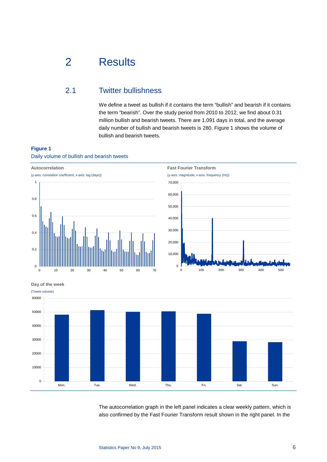# <span id="page-6-0"></span>2 Results

# <span id="page-6-1"></span>2.1 Twitter bullishness

We define a tweet as bullish if it contains the term "bullish" and bearish if it contains the term "bearish". Over the study period from 2010 to 2012, we find about 0.31 million bullish and bearish tweets. There are 1,091 days in total, and the average daily number of bullish and bearish tweets is 280. Figure 1 shows the volume of bullish and bearish tweets.

## **Figure 1** Daily volume of bullish and bearish tweets



**Day of the week**



The autocorrelation graph in the left panel indicates a clear weekly pattern, which is also confirmed by the Fast Fourier Transform result shown in the right panel. In the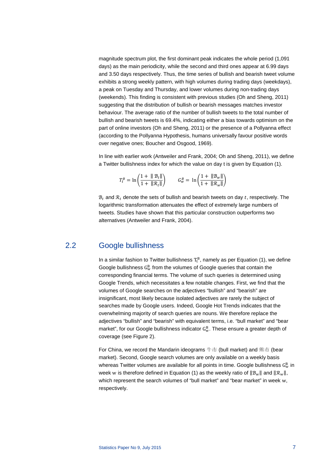magnitude spectrum plot, the first dominant peak indicates the whole period (1,091 days) as the main periodicity, while the second and third ones appear at 6.99 days and 3.50 days respectively. Thus, the time series of bullish and bearish tweet volume exhibits a strong weekly pattern, with high volumes during trading days (weekdays), a peak on Tuesday and Thursday, and lower volumes during non-trading days (weekends). This finding is consistent with previous studies (Oh and Sheng, 2011) suggesting that the distribution of bullish or bearish messages matches investor behaviour. The average ratio of the number of bullish tweets to the total number of bullish and bearish tweets is 69.4%, indicating either a bias towards optimism on the part of online investors (Oh and Sheng, 2011) or the presence of a Pollyanna effect (according to the Pollyanna Hypothesis, humans universally favour positive words over negative ones; Boucher and Osgood, 1969).

In line with earlier work (Antweiler and Frank, 2004; Oh and Sheng, 2011), we define a Twitter bullishness index for which the value on day t is given by Equation (1).

$$
T_t^B = \ln\left(\frac{1 + \|\mathcal{B}_t\|}{1 + \|\mathcal{R}_t\|}\right) \qquad G_w^B = \ln\left(\frac{1 + \|\mathcal{B}_w\|}{1 + \|\mathcal{R}_w\|}\right)
$$

 $B_t$  and  $R_t$  denote the sets of bullish and bearish tweets on day t, respectively. The logarithmic transformation attenuates the effect of extremely large numbers of tweets. Studies have shown that this particular construction outperforms two alternatives (Antweiler and Frank, 2004).

## <span id="page-7-0"></span>2.2 Google bullishness

In a similar fashion to Twitter bullishness  $T_t^B$ , namely as per Equation (1), we define Google bullishness  $G_{\rm w}^{\rm B}$  from the volumes of Google queries that contain the corresponding financial terms. The volume of such queries is determined using Google Trends, which necessitates a few notable changes. First, we find that the volumes of Google searches on the adjectives "bullish" and "bearish" are insignificant, most likely because isolated adjectives are rarely the subject of searches made by Google users. Indeed, Google Hot Trends indicates that the overwhelming majority of search queries are nouns. We therefore replace the adjectives "bullish" and "bearish" with equivalent terms, i.e. "bull market" and "bear market", for our Google bullishness indicator  $G_{w}^{B}$ . These ensure a greater depth of coverage (see Figure 2).

For China, we record the Mandarin ideograms 牛市 (bull market) and 熊市 (bear market). Second, Google search volumes are only available on a weekly basis whereas Twitter volumes are available for all points in time. Google bullishness  $\mathbf{G}^\text{B}_\text{w}$  in week w is therefore defined in Equation (1) as the weekly ratio of  $||\mathcal{B}_{w}||$  and  $||\mathcal{R}_{w}||$ , which represent the search volumes of "bull market" and "bear market" in week w, respectively.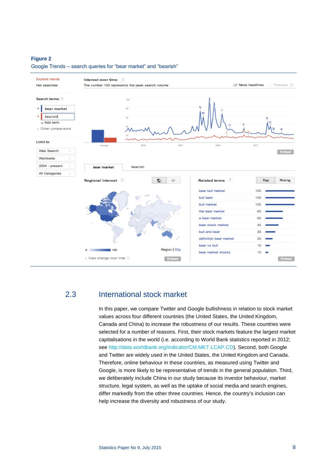### **Figure 2**

![](_page_8_Figure_1.jpeg)

Google Trends ‒ search queries for "bear market" and "bearish"

# <span id="page-8-0"></span>2.3 International stock market

In this paper, we compare Twitter and Google bullishness in relation to stock market values across four different countries (the United States, the United Kingdom, Canada and China) to increase the robustness of our results. These countries were selected for a number of reasons. First, their stock markets feature the largest market capitalisations in the world (i.e. according to World Bank statistics reported in 2012; see [http://data.worldbank.org/indicator/CM.MKT.LCAP.CD\)](http://data.worldbank.org/indicator/CM.MKT.LCAP.CD). Second, both Google and Twitter are widely used in the United States, the United Kingdom and Canada. Therefore, online behaviour in these countries, as measured using Twitter and Google, is more likely to be representative of trends in the general population. Third, we deliberately include China in our study because its investor behaviour, market structure, legal system, as well as the uptake of social media and search engines, differ markedly from the other three countries. Hence, the country's inclusion can help increase the diversity and robustness of our study.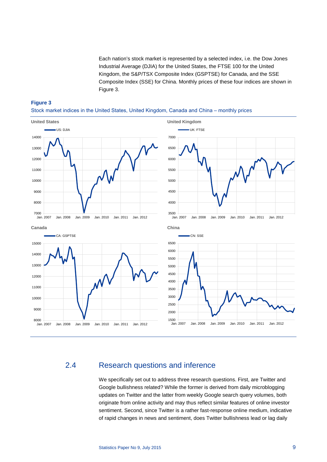Each nation's stock market is represented by a selected index, i.e. the Dow Jones Industrial Average (DJIA) for the United States, the FTSE 100 for the United Kingdom, the S&P/TSX Composite Index (GSPTSE) for Canada, and the SSE Composite Index (SSE) for China. Monthly prices of these four indices are shown in Figure 3.

### **Figure 3**

Stock market indices in the United States, United Kingdom, Canada and China – monthly prices

![](_page_9_Figure_3.jpeg)

## <span id="page-9-0"></span>2.4 Research questions and inference

We specifically set out to address three research questions. First, are Twitter and Google bullishness related? While the former is derived from daily microblogging updates on Twitter and the latter from weekly Google search query volumes, both originate from online activity and may thus reflect similar features of online investor sentiment. Second, since Twitter is a rather fast-response online medium, indicative of rapid changes in news and sentiment, does Twitter bullishness lead or lag daily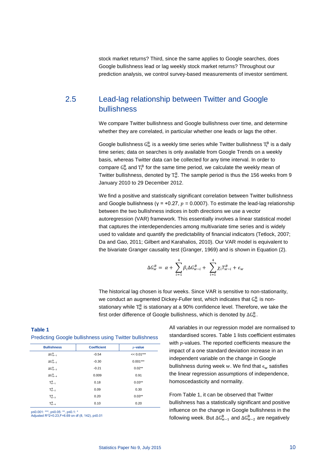stock market returns? Third, since the same applies to Google searches, does Google bullishness lead or lag weekly stock market returns? Throughout our prediction analysis, we control survey-based measurements of investor sentiment.

# <span id="page-10-0"></span>2.5 Lead-lag relationship between Twitter and Google bullishness

We compare Twitter bullishness and Google bullishness over time, and determine whether they are correlated, in particular whether one leads or lags the other.

Google bullishness  $G_{\rm w}^{\rm B}$  is a weekly time series while Twitter bullishness  $T_{\rm t}^{\rm B}$  is a daily time series; data on searches is only available from Google Trends on a weekly basis, whereas Twitter data can be collected for any time interval. In order to compare  $G_{\rm w}^{\rm B}$  and  $T_{\rm t}^{\rm B}$  for the same time period, we calculate the weekly mean of Twitter bullishness, denoted by  $T_w^{\text{B}}$ . The sample period is thus the 156 weeks from 9 January 2010 to 29 December 2012.

We find a positive and statistically significant correlation between Twitter bullishness and Google bullishness ( $y = +0.27$ ,  $p = 0.0007$ ). To estimate the lead-lag relationship between the two bullishness indices in both directions we use a vector autoregression (VAR) framework. This essentially involves a linear statistical model that captures the interdependencies among multivariate time series and is widely used to validate and quantify the predictability of financial indicators (Tetlock, 2007; Da and Gao, 2011; Gilbert and Karahalios, 2010). Our VAR model is equivalent to the bivariate Granger causality test (Granger, 1969) and is shown in Equation (2).

$$
\Delta G_w^B = \alpha + \sum_{i=1}^4 \beta_i \Delta G_{w-i}^B + \sum_{i=1}^4 \chi_i T_{w-i}^B + \epsilon_w
$$

The historical lag chosen is four weeks. Since VAR is sensitive to non-stationarity, we conduct an augmented Dickey-Fuller test, which indicates that  $\mathrm{G}_{\mathrm{w}}^{\mathrm{B}}$  is nonstationary while  $T_w^B$  is stationary at a 90% confidence level. Therefore, we take the first order difference of Google bullishness, which is denoted by  $\Delta G^B_w.$ 

> All variables in our regression model are normalised to standardised scores. Table 1 lists coefficient estimates with  $p$ -values. The reported coefficients measure the impact of a one standard deviation increase in an independent variable on the change in Google bullishness during week w. We find that  $\epsilon_w$  satisfies the linear regression assumptions of independence, homoscedasticity and normality.

From Table 1, it can be observed that Twitter bullishness has a statistically significant and positive influence on the change in Google bullishness in the following week. But  $\Delta G_{w-1}^B$  and  $\Delta G_{w-2}^B$  are negatively

### **Table 1** Predicting Google bullishness using Twitter bullishness

| <b>Bullishness</b>           | <b>Coefficient</b> | $p$ -value   |  |  |  |
|------------------------------|--------------------|--------------|--|--|--|
| $\Delta G_{\rm w-1}^{\rm B}$ | $-0.54$            | $<< 0.01***$ |  |  |  |
| $\Delta G_{w-2}^B$           | $-0.30$            | $0.001***$   |  |  |  |
| $\Delta G_{\rm w-3}^{\rm B}$ | $-0.21$            | $0.02**$     |  |  |  |
| $\Delta G_{\rm w-4}^{\rm B}$ | 0.009              | 0.91         |  |  |  |
| $T_{w-1}^B$                  | 0.18               | $0.03**$     |  |  |  |
| $T_{w-2}^B$                  | 0.09               | 0.30         |  |  |  |
| $T_{w-3}^B$                  | 0.20               | $0.03**$     |  |  |  |
| $T_{w-4}^B$                  | 0.10               | 0.20         |  |  |  |

p≤0.001: \*\*\*, p≤0.05: \*\*, p≤0.1: \* Adjusted R^2=0.23,F=6.69 on df (8, 142), p≤0.01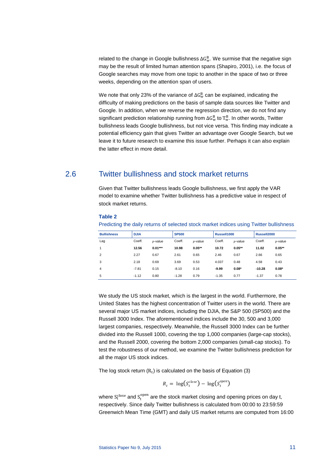related to the change in Google bullishness  $\Delta G_{\rm w}^{\rm B}$ . We surmise that the negative sign may be the result of limited human attention spans (Shapiro, 2001), i.e. the focus of Google searches may move from one topic to another in the space of two or three weeks, depending on the attention span of users.

We note that only 23% of the variance of  $\Delta G_{\rm w}^{\rm B}$  can be explained, indicating the difficulty of making predictions on the basis of sample data sources like Twitter and Google. In addition, when we reverse the regression direction, we do not find any significant prediction relationship running from  $\Delta G_{\rm w}^{\rm B}$  to  ${\rm T}_{\rm w}^{\rm B}$ . In other words, Twitter bullishness leads Google bullishness, but not vice versa. This finding may indicate a potential efficiency gain that gives Twitter an advantage over Google Search, but we leave it to future research to examine this issue further. Perhaps it can also explain the latter effect in more detail.

## <span id="page-11-0"></span>2.6 Twitter bullishness and stock market returns

Given that Twitter bullishness leads Google bullishness, we first apply the VAR model to examine whether Twitter bullishness has a predictive value in respect of stock market returns.

### **Table 2**

Predicting the daily returns of selected stock market indices using Twitter bullishness

| <b>Bullishness</b> | <b>DJIA</b> |            | <b>SP500</b> |            | Russell1000 |            | Russell2000 |            |
|--------------------|-------------|------------|--------------|------------|-------------|------------|-------------|------------|
| Lag                | Coeff.      | $v$ -value | Coeff.       | $p$ -value | Coeff.      | $p$ -value | Coeff.      | $p$ -value |
| 1                  | 12.56       | $0.01***$  | 10.98        | $0.05***$  | 10.72       | $0.05**$   | 11.02       | $0.05***$  |
| $\overline{2}$     | 2.27        | 0.67       | 2.61         | 0.65       | 2.46        | 0.67       | 2.66        | 0.65       |
| 3                  | 2.18        | 0.69       | 3.69         | 0.53       | 4.037       | 0.48       | 4.58        | 0.43       |
| 4                  | $-7.81$     | 0.15       | $-8.10$      | 0.16       | $-9.99$     | $0.08*$    | $-10.28$    | $0.08*$    |
| 5                  | $-1.12$     | 0.80       | $-1.28$      | 0.79       | $-1.35$     | 0.77       | $-1.37$     | 0.78       |

We study the US stock market, which is the largest in the world. Furthermore, the United States has the highest concentration of Twitter users in the world. There are several major US market indices, including the DJIA, the S&P 500 (SP500) and the Russell 3000 Index. The aforementioned indices include the 30, 500 and 3,000 largest companies, respectively. Meanwhile, the Russell 3000 Index can be further divided into the Russell 1000, covering the top 1,000 companies (large-cap stocks), and the Russell 2000, covering the bottom 2,000 companies (small-cap stocks). To test the robustness of our method, we examine the Twitter bullishness prediction for all the major US stock indices.

The log stock return  $(R_t)$  is calculated on the basis of Equation (3)

$$
R_t = \log(S_t^{close}) - \log(S_t^{open})
$$

where  $S_{t}^{close}$  and  $S_{t}^{open}$  are the stock market closing and opening prices on day t, respectively. Since daily Twitter bullishness is calculated from 00:00 to 23:59:59 Greenwich Mean Time (GMT) and daily US market returns are computed from 16:00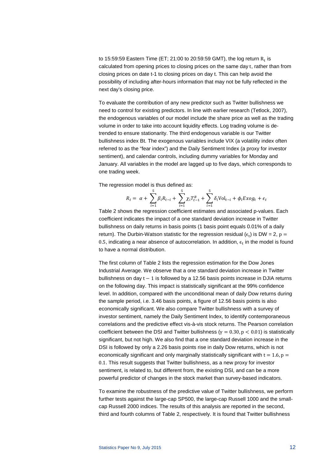to 15:59:59 Eastern Time (ET; 21:00 to 20:59:59 GMT), the log return  $R_t$  is calculated from opening prices to closing prices on the same day t, rather than from closing prices on date t-1 to closing prices on day t. This can help avoid the possibility of including after-hours information that may not be fully reflected in the next day's closing price.

To evaluate the contribution of any new predictor such as Twitter bullishness we need to control for existing predictors. In line with earlier research (Tetlock, 2007), the endogenous variables of our model include the share price as well as the trading volume in order to take into account liquidity effects. Log trading volume is detrended to ensure stationarity. The third endogenous variable is our Twitter bullishness index Bt. The exogenous variables include VIX (a volatility index often referred to as the "fear index") and the Daily Sentiment Index (a proxy for investor sentiment), and calendar controls, including dummy variables for Monday and January. All variables in the model are lagged up to five days, which corresponds to one trading week.

The regression model is thus defined as:

$$
R_{t} = \alpha + \sum_{i=1}^{5} \beta_{i} R_{t-i} + \sum_{i=1}^{5} \chi_{i} T_{t-1}^{B} + \sum_{i=1}^{5} \delta_{i} \text{Vol}_{t-i} + \phi_{i} \text{Exog}_{t} + \epsilon_{t}
$$

Table 2 shows the regression coefficient estimates and associated p-values. Each coefficient indicates the impact of a one standard deviation increase in Twitter bullishness on daily returns in basis points (1 basis point equals 0.01% of a daily return). The Durbin-Watson statistic for the regression residual  $(\epsilon_t)$  is DW = 2, p = 0.5, indicating a near absence of autocorrelation. In addition,  $\epsilon_t$  in the model is found to have a normal distribution.

The first column of Table 2 lists the regression estimation for the Dow Jones Industrial Average. We observe that a one standard deviation increase in Twitter bullishness on day t − 1 is followed by a 12.56 basis points increase in DJIA returns on the following day. This impact is statistically significant at the 99% confidence level. In addition, compared with the unconditional mean of daily Dow returns during the sample period, i.e. 3.46 basis points, a figure of 12.56 basis points is also economically significant. We also compare Twitter bullishness with a survey of investor sentiment, namely the Daily Sentiment Index, to identify contemporaneous correlations and the predictive effect vis-à-vis stock returns. The Pearson correlation coefficient between the DSI and Twitter bullishness ( $\gamma = 0.30$ ,  $p < 0.01$ ) is statistically significant, but not high. We also find that a one standard deviation increase in the DSI is followed by only a 2.26 basis points rise in daily Dow returns, which is not economically significant and only marginally statistically significant with  $t = 1.6$ ,  $p =$ 0.1. This result suggests that Twitter bullishness, as a new proxy for investor sentiment, is related to, but different from, the existing DSI, and can be a more powerful predictor of changes in the stock market than survey-based indicators.

To examine the robustness of the predictive value of Twitter bullishness, we perform further tests against the large-cap SP500, the large-cap Russell 1000 and the smallcap Russell 2000 indices. The results of this analysis are reported in the second, third and fourth columns of Table 2, respectively. It is found that Twitter bullishness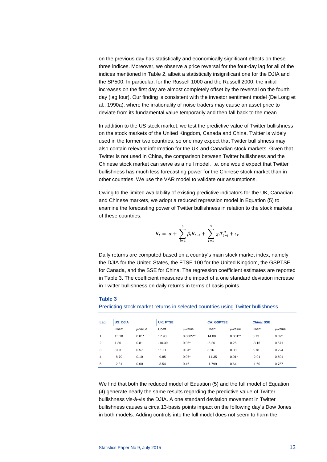on the previous day has statistically and economically significant effects on these three indices. Moreover, we observe a price reversal for the four-day lag for all of the indices mentioned in Table 2, albeit a statistically insignificant one for the DJIA and the SP500. In particular, for the Russell 1000 and the Russell 2000, the initial increases on the first day are almost completely offset by the reversal on the fourth day (lag four). Our finding is consistent with the investor sentiment model (De Long et al., 1990a), where the irrationality of noise traders may cause an asset price to deviate from its fundamental value temporarily and then fall back to the mean.

In addition to the US stock market, we test the predictive value of Twitter bullishness on the stock markets of the United Kingdom, Canada and China. Twitter is widely used in the former two countries, so one may expect that Twitter bullishness may also contain relevant information for the UK and Canadian stock markets. Given that Twitter is not used in China, the comparison between Twitter bullishness and the Chinese stock market can serve as a null model, i.e. one would expect that Twitter bullishness has much less forecasting power for the Chinese stock market than in other countries. We use the VAR model to validate our assumptions.

Owing to the limited availability of existing predictive indicators for the UK, Canadian and Chinese markets, we adopt a reduced regression model in Equation (5) to examine the forecasting power of Twitter bullishness in relation to the stock markets of these countries.

$$
R_{t} = \alpha + \sum_{i=1}^{5} \beta_{i} R_{t-i} + \sum_{i=1}^{5} \chi_{i} T_{t-i}^{B} + \epsilon_{t}
$$

Daily returns are computed based on a country's main stock market index, namely the DJIA for the United States, the FTSE 100 for the United Kingdom, the GSPTSE for Canada, and the SSE for China. The regression coefficient estimates are reported in Table 3. The coefficient measures the impact of a one standard deviation increase in Twitter bullishness on daily returns in terms of basis points.

#### **Table 3**

Predicting stock market returns in selected countries using Twitter bullishness

| Lag            | <b>US: DJIA</b> |            | <b>UK: FTSE</b> |            | <b>CA: GSPTSE</b> |            | <b>China: SSE</b> |            |
|----------------|-----------------|------------|-----------------|------------|-------------------|------------|-------------------|------------|
|                | Coeff.          | $p$ -value | Coeff.          | $p$ -value | Coeff.            | $p$ -value | Coeff.            | $p$ -value |
| 1              | 13.18           | $0.01*$    | 17.98           | $0.0005**$ | 14.08             | $0.001**$  | 8.73              | $0.09*$    |
| $\overline{2}$ | 1.30            | 0.81       | $-10.39$        | $0.06*$    | $-5.26$           | 0.26       | $-3.16$           | 0.571      |
| 3              | 3.03            | 0.57       | 11.11           | $0.04*$    | 8.16              | 0.08       | 6.78              | 0.224      |
| $\overline{4}$ | $-8.79$         | 0.10       | $-9.85$         | $0.07*$    | $-11.35$          | $0.01*$    | $-2.91$           | 0.601      |
| 5              | $-2.31$         | 0.60       | $-3.54$         | 0.46       | $-1.799$          | 0.64       | $-1.60$           | 0.757      |

We find that both the reduced model of Equation (5) and the full model of Equation (4) generate nearly the same results regarding the predictive value of Twitter bullishness vis-à-vis the DJIA. A one standard deviation movement in Twitter bullishness causes a circa 13-basis points impact on the following day's Dow Jones in both models. Adding controls into the full model does not seem to harm the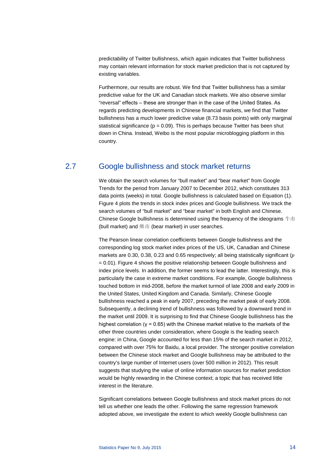predictability of Twitter bullishness, which again indicates that Twitter bullishness may contain relevant information for stock market prediction that is not captured by existing variables.

Furthermore, our results are robust. We find that Twitter bullishness has a similar predictive value for the UK and Canadian stock markets. We also observe similar "reversal" effects - these are stronger than in the case of the United States. As regards predicting developments in Chinese financial markets, we find that Twitter bullishness has a much lower predictive value (8.73 basis points) with only marginal statistical significance ( $p = 0.09$ ). This is perhaps because Twitter has been shut down in China. Instead, Weibo is the most popular microblogging platform in this country.

# <span id="page-14-0"></span>2.7 Google bullishness and stock market returns

We obtain the search volumes for "bull market" and "bear market" from Google Trends for the period from January 2007 to December 2012, which constitutes 313 data points (weeks) in total. Google bullishness is calculated based on Equation (1). Figure 4 plots the trends in stock index prices and Google bullishness. We track the search volumes of "bull market" and "bear market" in both English and Chinese. Chinese Google bullishness is determined using the frequency of the ideograms 牛市 (bull market) and 熊市 (bear market) in user searches.

The Pearson linear correlation coefficients between Google bullishness and the corresponding log stock market index prices of the US, UK, Canadian and Chinese markets are 0.30, 0.38, 0.23 and 0.65 respectively; all being statistically significant ( $p$  $= 0.01$ ). Figure 4 shows the positive relationship between Google bullishness and index price levels. In addition, the former seems to lead the latter. Interestingly, this is particularly the case in extreme market conditions. For example, Google bullishness touched bottom in mid-2008, before the market turmoil of late 2008 and early 2009 in the United States, United Kingdom and Canada. Similarly, Chinese Google bullishness reached a peak in early 2007, preceding the market peak of early 2008. Subsequently, a declining trend of bullishness was followed by a downward trend in the market until 2009. It is surprising to find that Chinese Google bullishness has the highest correlation ( $y = 0.65$ ) with the Chinese market relative to the markets of the other three countries under consideration, where Google is the leading search engine: in China, Google accounted for less than 15% of the search market in 2012, compared with over 75% for Baidu, a local provider. The stronger positive correlation between the Chinese stock market and Google bullishness may be attributed to the country's large number of Internet users (over 500 million in 2012). This result suggests that studying the value of online information sources for market prediction would be highly rewarding in the Chinese context; a topic that has received little interest in the literature.

Significant correlations between Google bullishness and stock market prices do not tell us whether one leads the other. Following the same regression framework adopted above, we investigate the extent to which weekly Google bullishness can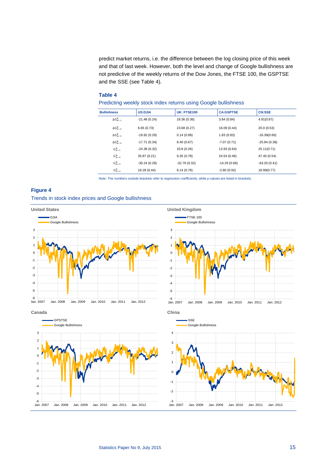predict market returns, i.e. the difference between the log closing price of this week and that of last week. However, both the level and change of Google bullishness are not predictive of the weekly returns of the Dow Jones, the FTSE 100, the GSPTSE and the SSE (see Table 4).

## **Table 4**

Predicting weekly stock index returns using Google bullishness

| <b>Bullishness</b> | <b>US:DJIA</b> | <b>UK: FTSE100</b> | <b>CA:GSPTSE</b> | <b>CN:SSE</b>  |
|--------------------|----------------|--------------------|------------------|----------------|
| $\Delta G_{W-1}^B$ | $-21.48(0.24)$ | 18.36 (0.36)       | 3.84(0.84)       | 4.91(0.87)     |
| $\Delta G_{w-2}^B$ | 6.65(0.73)     | 23.68 (0.27)       | 16.09 (0.44)     | 20.0(0.53)     |
| $\Delta G_{w-3}^B$ | $-19.92(0.29)$ | 0.14(0.99)         | 1.83(0.93)       | $-16.39(0.60)$ |
| $\Delta G_{w-4}^B$ | $-17.71(0.34)$ | 8.40(0.67)         | $-7.07(0.71)$    | $-25.84(0.38)$ |
| $G_{w-1}^B$        | $-24.38(0.32)$ | 33.8 (0.26)        | 13.93 (0.64)     | 25.11(0.71)    |
| $G_{w-2}^B$        | 35.87 (0.21)   | 9.26(0.78)         | 24.54 (0.46)     | 47.40 (0.54)   |
| $G_{w-3}^B$        | $-30.24(0.29)$ | $-32.76(0.32)$     | $-14.29(0.66)$   | $-63.20(0.41)$ |
| $G_{w-4}^B$        | 18.28 (0.44)   | 8.14 (0.78)        | $-2.80(0.92)$    | 18.99(0.77)    |

Note: The numbers outside brackets refer to regression coefficients, while p-values are listed in brackets.

### **Figure 4**

Trends in stock index prices and Google bullishness

![](_page_15_Figure_7.jpeg)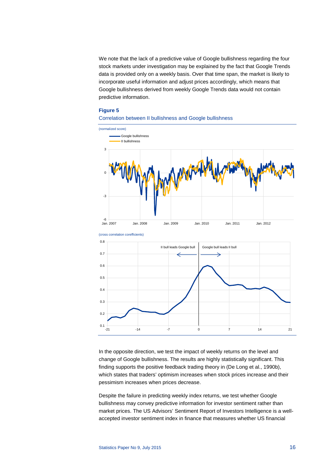We note that the lack of a predictive value of Google bullishness regarding the four stock markets under investigation may be explained by the fact that Google Trends data is provided only on a weekly basis. Over that time span, the market is likely to incorporate useful information and adjust prices accordingly, which means that Google bullishness derived from weekly Google Trends data would not contain predictive information.

### **Figure 5**

![](_page_16_Figure_2.jpeg)

![](_page_16_Figure_3.jpeg)

(cross correlation corefficients) 0.1 0.2 0.3 0.4 0.5 0.6 0.7 0.8 -21 -14 -7 0 -7 14 -21 II bull leads Google bull | Google bull leads II bull

In the opposite direction, we test the impact of weekly returns on the level and change of Google bullishness. The results are highly statistically significant. This finding supports the positive feedback trading theory in (De Long et al., 1990b), which states that traders' optimism increases when stock prices increase and their pessimism increases when prices decrease.

Despite the failure in predicting weekly index returns, we test whether Google bullishness may convey predictive information for investor sentiment rather than market prices. The US Advisors' Sentiment Report of Investors Intelligence is a wellaccepted investor sentiment index in finance that measures whether US financial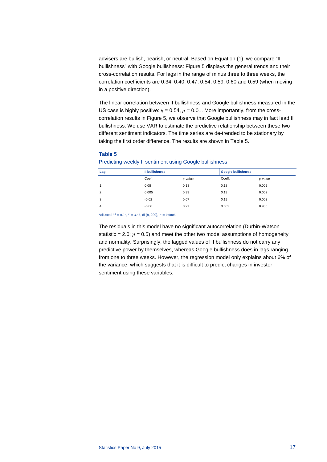advisers are bullish, bearish, or neutral. Based on Equation (1), we compare "II bullishness" with Google bullishness: Figure 5 displays the general trends and their cross-correlation results. For lags in the range of minus three to three weeks, the correlation coefficients are 0.34, 0.40, 0.47, 0.54, 0.59, 0.60 and 0.59 (when moving in a positive direction).

The linear correlation between II bullishness and Google bullishness measured in the US case is highly positive:  $y = 0.54$ ,  $p = 0.01$ . More importantly, from the crosscorrelation results in Figure 5, we observe that Google bullishness may in fact lead II bullishness. We use VAR to estimate the predictive relationship between these two different sentiment indicators. The time series are de-trended to be stationary by taking the first order difference. The results are shown in Table 5.

### **Table 5**

Predicting weekly II sentiment using Google bullishness

| Lag            | <b>Il bullishness</b> |            | <b>Google bullishness</b> |            |
|----------------|-----------------------|------------|---------------------------|------------|
|                | Coeff.                | $p$ -value | Coeff.                    | $p$ -value |
|                | 0.08                  | 0.18       | 0.18                      | 0.002      |
| $\overline{2}$ | 0.005                 | 0.93       | 0.19                      | 0.002      |
| 3              | $-0.02$               | 0.67       | 0.19                      | 0.003      |
| 4              | $-0.06$               | 0.27       | 0.002                     | 0.980      |

Adjusted  $R^2 = 0.06, F = 3.62, df (8, 299), p = 0.0005$ 

The residuals in this model have no significant autocorrelation (Durbin-Watson statistic = 2.0;  $p = 0.5$ ) and meet the other two model assumptions of homogeneity and normality. Surprisingly, the lagged values of II bullishness do not carry any predictive power by themselves, whereas Google bullishness does in lags ranging from one to three weeks. However, the regression model only explains about 6% of the variance, which suggests that it is difficult to predict changes in investor sentiment using these variables.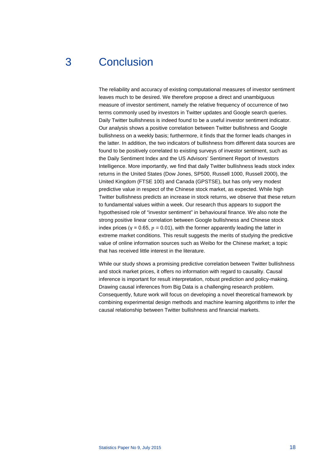# <span id="page-18-0"></span>3 Conclusion

The reliability and accuracy of existing computational measures of investor sentiment leaves much to be desired. We therefore propose a direct and unambiguous measure of investor sentiment, namely the relative frequency of occurrence of two terms commonly used by investors in Twitter updates and Google search queries. Daily Twitter bullishness is indeed found to be a useful investor sentiment indicator. Our analysis shows a positive correlation between Twitter bullishness and Google bullishness on a weekly basis; furthermore, it finds that the former leads changes in the latter. In addition, the two indicators of bullishness from different data sources are found to be positively correlated to existing surveys of investor sentiment, such as the Daily Sentiment Index and the US Advisors' Sentiment Report of Investors Intelligence. More importantly, we find that daily Twitter bullishness leads stock index returns in the United States (Dow Jones, SP500, Russell 1000, Russell 2000), the United Kingdom (FTSE 100) and Canada (GPSTSE), but has only very modest predictive value in respect of the Chinese stock market, as expected. While high Twitter bullishness predicts an increase in stock returns, we observe that these return to fundamental values within a week. Our research thus appears to support the hypothesised role of "investor sentiment" in behavioural finance. We also note the strong positive linear correlation between Google bullishness and Chinese stock index prices ( $y = 0.65$ ,  $p = 0.01$ ), with the former apparently leading the latter in extreme market conditions. This result suggests the merits of studying the predictive value of online information sources such as Weibo for the Chinese market; a topic that has received little interest in the literature.

While our study shows a promising predictive correlation between Twitter bullishness and stock market prices, it offers no information with regard to causality. Causal inference is important for result interpretation, robust prediction and policy-making. Drawing causal inferences from Big Data is a challenging research problem. Consequently, future work will focus on developing a novel theoretical framework by combining experimental design methods and machine learning algorithms to infer the causal relationship between Twitter bullishness and financial markets.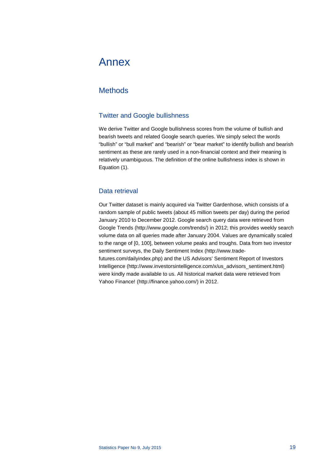# <span id="page-19-0"></span>Annex

# <span id="page-19-1"></span>**Methods**

## Twitter and Google bullishness

We derive Twitter and Google bullishness scores from the volume of bullish and bearish tweets and related Google search queries. We simply select the words "bullish" or "bull market" and "bearish" or "bear market" to identify bullish and bearish sentiment as these are rarely used in a non-financial context and their meaning is relatively unambiguous. The definition of the online bullishness index is shown in Equation (1).

## Data retrieval

Our Twitter dataset is mainly acquired via Twitter Gardenhose, which consists of a random sample of public tweets (about 45 million tweets per day) during the period January 2010 to December 2012. Google search query data were retrieved from Google Trends [\(http://www.google.com/trends/\)](http://www.google.com/trends/) in 2012; this provides weekly search volume data on all queries made after January 2004. Values are dynamically scaled to the range of [0, 100], between volume peaks and troughs. Data from two investor sentiment surveys, the Daily Sentiment Index [\(http://www.trade](http://www.trade-futures.com/dailyindex.php)[futures.com/dailyindex.php\)](http://www.trade-futures.com/dailyindex.php) and the US Advisors' Sentiment Report of Investors Intelligenc[e \(http://www.investorsintelligence.com/x/us\\_advisors\\_sentiment.html\)](http://www.investorsintelligence.com/x/us_advisors_sentiment.html) were kindly made available to us. All historical market data were retrieved from Yahoo Finance! [\(http://finance.yahoo.com/\)](http://finance.yahoo.com/) in 2012.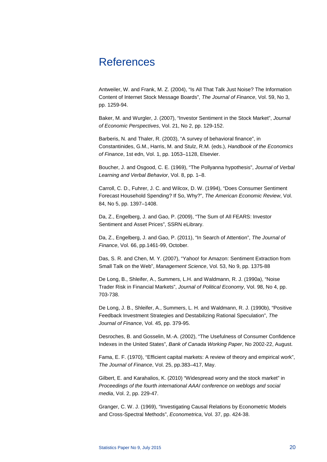# <span id="page-20-0"></span>References

Antweiler, W. and Frank, M. Z. (2004), "Is All That Talk Just Noise? The Information Content of Internet Stock Message Boards", *The Journal of Finance*, Vol. 59, No 3, pp. 1259-94.

Baker, M. and Wurgler, J. (2007), "Investor Sentiment in the Stock Market", *Journal of Economic Perspectives*, Vol. 21, No 2, pp. 129-152.

Barberis, N. and Thaler, R. (2003), "A survey of behavioral finance", in Constantinides, G.M., Harris, M. and Stulz, R.M. (eds.), *Handbook of the Economics of Finance*, 1st edn, Vol. 1, pp. 1053–1128, Elsevier.

Boucher, J. and Osgood, C. E. (1969), "The Pollyanna hypothesis", *Journal of Verbal Learning and Verbal Behavior*, Vol. 8, pp. 1–8.

Carroll, C. D., Fuhrer, J. C. and Wilcox, D. W. (1994), "Does Consumer Sentiment Forecast Household Spending? If So, Why?", *The American Economic Review*, Vol. 84, No 5, pp. 1397–1408.

Da, Z., Engelberg, J. and Gao, P. (2009), "The Sum of All FEARS: Investor Sentiment and Asset Prices", SSRN eLibrary.

Da, Z., Engelberg, J. and Gao, P. (2011), "In Search of Attention", *The Journal of Finance*, Vol. 66, pp.1461-99, October.

Das, S. R. and Chen, M. Y. (2007), "Yahoo! for Amazon: Sentiment Extraction from Small Talk on the Web", *Management Science*, Vol. 53, No 9, pp. 1375-88

De Long, B., Shleifer, A., Summers, L.H. and Waldmann, R. J. (1990a), "Noise Trader Risk in Financial Markets", *Journal of Political Economy*, Vol. 98, No 4, pp. 703-738.

De Long, J. B., Shleifer, A., Summers, L. H. and Waldmann, R. J. (1990b), "Positive Feedback Investment Strategies and Destabilizing Rational Speculation", *The Journal of Finance*, Vol. 45, pp. 379-95.

Desroches, B. and Gosselin, M.-A. (2002), "The Usefulness of Consumer Confidence Indexes in the United States", *Bank of Canada Working Paper*, No 2002-22, August.

Fama, E. F. (1970), "Efficient capital markets: A review of theory and empirical work", *The Journal of Finance*, Vol. 25, pp.383–417, May.

Gilbert, E. and Karahalios, K. (2010) "Widespread worry and the stock market" in *Proceedings of the fourth international AAAI conference on weblogs and social media*, Vol. 2, pp. 229-47.

Granger, C. W. J. (1969), "Investigating Causal Relations by Econometric Models and Cross-Spectral Methods", *Econometrica*, Vol. 37, pp. 424-38.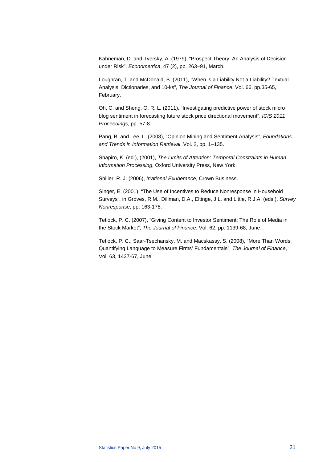Kahneman, D. and Tversky, A. (1979), "Prospect Theory: An Analysis of Decision under Risk", *Econometrica*, 47 (2), pp. 263–91, March.

Loughran, T. and McDonald, B. (2011), "When is a Liability Not a Liability? Textual Analysis, Dictionaries, and 10-ks", *The Journal of Finance*, Vol. 66, pp.35-65, February.

Oh, C. and Sheng, O. R. L. (2011), "Investigating predictive power of stock micro blog sentiment in forecasting future stock price directional movement", *ICIS 2011 Proceedings*, pp. 57-8.

Pang, B. and Lee, L. (2008), "Opinion Mining and Sentiment Analysis", *Foundations and Trends in Information Retrieval*, Vol. 2, pp. 1–135.

Shapiro, K. (ed.), (2001), *The Limits of Attention: Temporal Constraints in Human Information Processing*, Oxford University Press, New York.

Shiller, R. J. (2006), *Irrational Exuberance*, Crown Business.

Singer, E. (2001), "The Use of Incentives to Reduce Nonresponse in Household Surveys", in Groves, R.M., Dillman, D.A., Eltinge, J.L. and Little, R.J.A. (eds.), *Survey Nonresponse*, pp. 163-178.

Tetlock, P. C. (2007), "Giving Content to Investor Sentiment: The Role of Media in the Stock Market", *The Journal of Finance*, Vol. 62, pp. 1139-68, June .

Tetlock, P. C., Saar-Tsechansky, M. and Macskassy, S. (2008), "More Than Words: Quantifying Language to Measure Firms' Fundamentals", *The Journal of Finance*, Vol. 63, 1437-67, June.